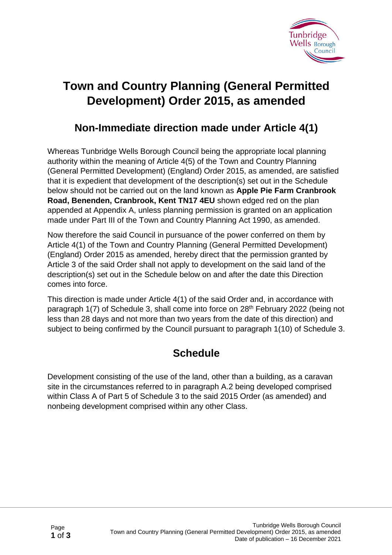

## **Town and Country Planning (General Permitted Development) Order 2015, as amended**

## **Non-Immediate direction made under Article 4(1)**

Whereas Tunbridge Wells Borough Council being the appropriate local planning authority within the meaning of Article 4(5) of the Town and Country Planning (General Permitted Development) (England) Order 2015, as amended, are satisfied that it is expedient that development of the description(s) set out in the Schedule below should not be carried out on the land known as **Apple Pie Farm Cranbrook Road, Benenden, Cranbrook, Kent TN17 4EU** shown edged red on the plan appended at Appendix A, unless planning permission is granted on an application made under Part III of the Town and Country Planning Act 1990, as amended.

Now therefore the said Council in pursuance of the power conferred on them by Article 4(1) of the Town and Country Planning (General Permitted Development) (England) Order 2015 as amended, hereby direct that the permission granted by Article 3 of the said Order shall not apply to development on the said land of the description(s) set out in the Schedule below on and after the date this Direction comes into force.

This direction is made under Article 4(1) of the said Order and, in accordance with paragraph 1(7) of Schedule 3, shall come into force on 28<sup>th</sup> February 2022 (being not less than 28 days and not more than two years from the date of this direction) and subject to being confirmed by the Council pursuant to paragraph 1(10) of Schedule 3.

## **Schedule**

Development consisting of the use of the land, other than a building, as a caravan site in the circumstances referred to in paragraph A.2 being developed comprised within Class A of Part 5 of Schedule 3 to the said 2015 Order (as amended) and nonbeing development comprised within any other Class.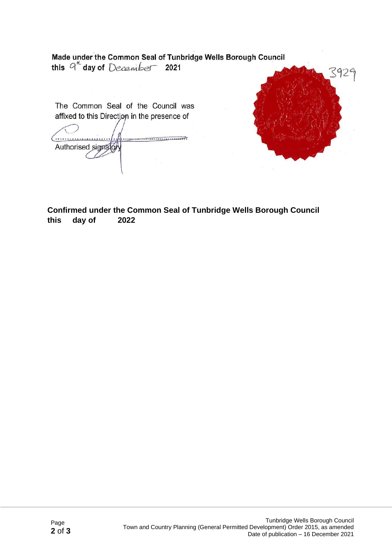Made under the Common Seal of Tunbridge Wells Borough Council<br>this  $q^{\mu}$  day of  $December$  2021 3929 The Common Seal of the Council was affixed to this Direction in the presence of Authorised signator  $\epsilon$ 

**Confirmed under the Common Seal of Tunbridge Wells Borough Council this day of 2022**